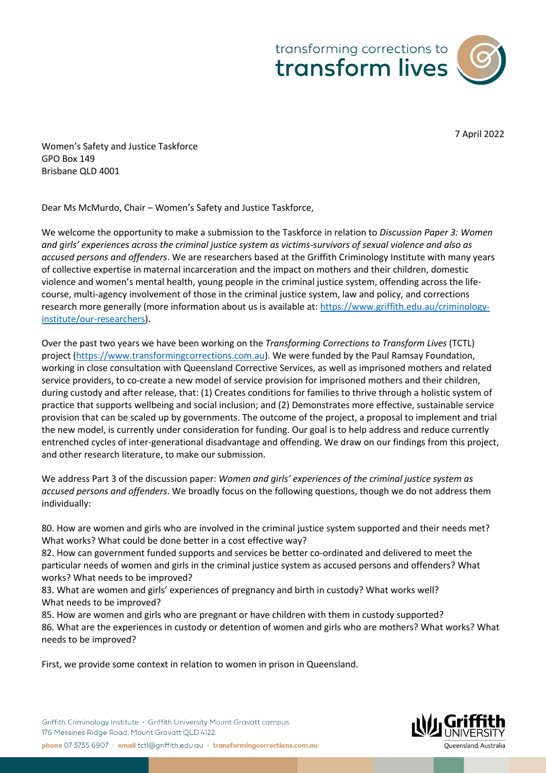



7 April 2022

Women's Safety and Justice Taskforce GPO Box 149 Brisbane QLD 4001

Dear Ms McMurdo, Chair – Women's Safety and Justice Taskforce,

We welcome the opportunity to make a submission to the Taskforce in relation to *Discussion Paper 3: Women and girls' experiences across the criminal justice system as victims-survivors of sexual violence and also as accused persons and offenders*. We are researchers based at the Griffith Criminology Institute with many years of collective expertise in maternal incarceration and the impact on mothers and their children, domestic violence and women's mental health, young people in the criminal justice system, offending across the lifecourse, multi-agency involvement of those in the criminal justice system, law and policy, and corrections research more generally (more information about us is available at: https://www.griffith.edu.au/criminologyinstitute/our-researchers).

Over the past two years we have been working on the *Transforming Corrections to Transform Lives* (TCTL) project (https://www.transformingcorrections.com.au). We were funded by the Paul Ramsay Foundation, working in close consultation with Queensland Corrective Services, as well as imprisoned mothers and related service providers, to co-create a new model of service provision for imprisoned mothers and their children, during custody and after release, that: (1) Creates conditions for families to thrive through a holistic system of practice that supports wellbeing and social inclusion; and (2) Demonstrates more effective, sustainable service provision that can be scaled up by governments. The outcome of the project, a proposal to implement and trial the new model, is currently under consideration for funding. Our goal is to help address and reduce currently entrenched cycles of inter-generational disadvantage and offending. We draw on our findings from this project, and other research literature, to make our submission.

We address Part 3 of the discussion paper: *Women and girls' experiences of the criminal justice system as accused persons and offenders*. We broadly focus on the following questions, though we do not address them individually:

80. How are women and girls who are involved in the criminal justice system supported and their needs met? What works? What could be done better in a cost effective way?

82. How can government funded supports and services be better co-ordinated and delivered to meet the particular needs of women and girls in the criminal justice system as accused persons and offenders? What works? What needs to be improved?

83. What are women and girls' experiences of pregnancy and birth in custody? What works well? What needs to be improved?

85. How are women and girls who are pregnant or have children with them in custody supported? 86. What are the experiences in custody or detention of women and girls who are mothers? What works? What needs to be improved?

First, we provide some context in relation to women in prison in Queensland.

Griffith Criminology Institute · Griffith University Mount Grayatt campus 176 Messines Ridge Road, Mount Gravatt QLD 4122 phone 07 3735 6907 · email tctl@griffith.edu.au · transformingcorrections.com.au

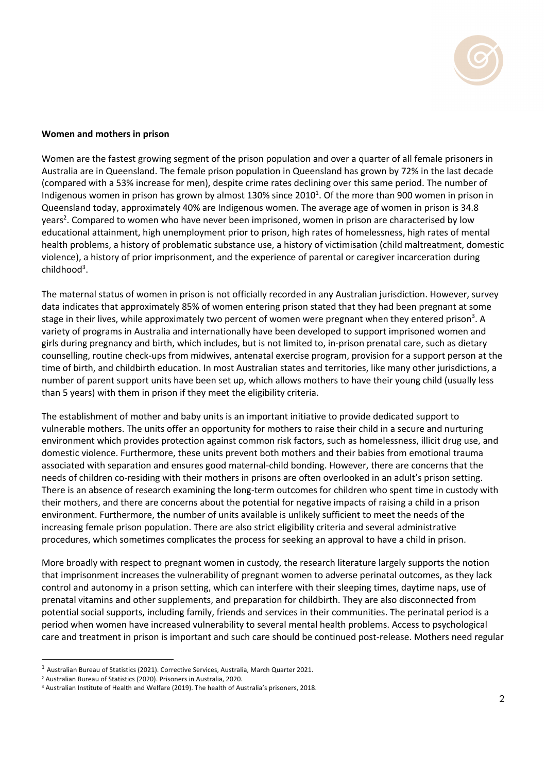

## **Women and mothers in prison**

Women are the fastest growing segment of the prison population and over a quarter of all female prisoners in Australia are in Queensland. The female prison population in Queensland has grown by 72% in the last decade (compared with a 53% increase for men), despite crime rates declining over this same period. The number of Indigenous women in prison has grown by almost 130% since 2010<sup>1</sup>. Of the more than 900 women in prison in Queensland today, approximately 40% are Indigenous women. The average age of women in prison is 34.8 years<sup>2</sup>. Compared to women who have never been imprisoned, women in prison are characterised by low educational attainment, high unemployment prior to prison, high rates of homelessness, high rates of mental health problems, a history of problematic substance use, a history of victimisation (child maltreatment, domestic violence), a history of prior imprisonment, and the experience of parental or caregiver incarceration during childhood<sup>3</sup>.

The maternal status of women in prison is not officially recorded in any Australian jurisdiction. However, survey data indicates that approximately 85% of women entering prison stated that they had been pregnant at some stage in their lives, while approximately two percent of women were pregnant when they entered prison<sup>3</sup>. A variety of programs in Australia and internationally have been developed to support imprisoned women and girls during pregnancy and birth, which includes, but is not limited to, in-prison prenatal care, such as dietary counselling, routine check-ups from midwives, antenatal exercise program, provision for a support person at the time of birth, and childbirth education. In most Australian states and territories, like many other jurisdictions, a number of parent support units have been set up, which allows mothers to have their young child (usually less than 5 years) with them in prison if they meet the eligibility criteria.

The establishment of mother and baby units is an important initiative to provide dedicated support to vulnerable mothers. The units offer an opportunity for mothers to raise their child in a secure and nurturing environment which provides protection against common risk factors, such as homelessness, illicit drug use, and domestic violence. Furthermore, these units prevent both mothers and their babies from emotional trauma associated with separation and ensures good maternal-child bonding. However, there are concerns that the needs of children co-residing with their mothers in prisons are often overlooked in an adult's prison setting. There is an absence of research examining the long-term outcomes for children who spent time in custody with their mothers, and there are concerns about the potential for negative impacts of raising a child in a prison environment. Furthermore, the number of units available is unlikely sufficient to meet the needs of the increasing female prison population. There are also strict eligibility criteria and several administrative procedures, which sometimes complicates the process for seeking an approval to have a child in prison.

More broadly with respect to pregnant women in custody, the research literature largely supports the notion that imprisonment increases the vulnerability of pregnant women to adverse perinatal outcomes, as they lack control and autonomy in a prison setting, which can interfere with their sleeping times, daytime naps, use of prenatal vitamins and other supplements, and preparation for childbirth. They are also disconnected from potential social supports, including family, friends and services in their communities. The perinatal period is a period when women have increased vulnerability to several mental health problems. Access to psychological care and treatment in prison is important and such care should be continued post-release. Mothers need regular

<sup>1</sup> Australian Bureau of Statistics (2021). Corrective Services, Australia, March Quarter 2021.

<sup>2</sup> Australian Bureau of Statistics (2020). Prisoners in Australia, 2020.

<sup>3</sup> Australian Institute of Health and Welfare (2019). The health of Australia's prisoners, 2018.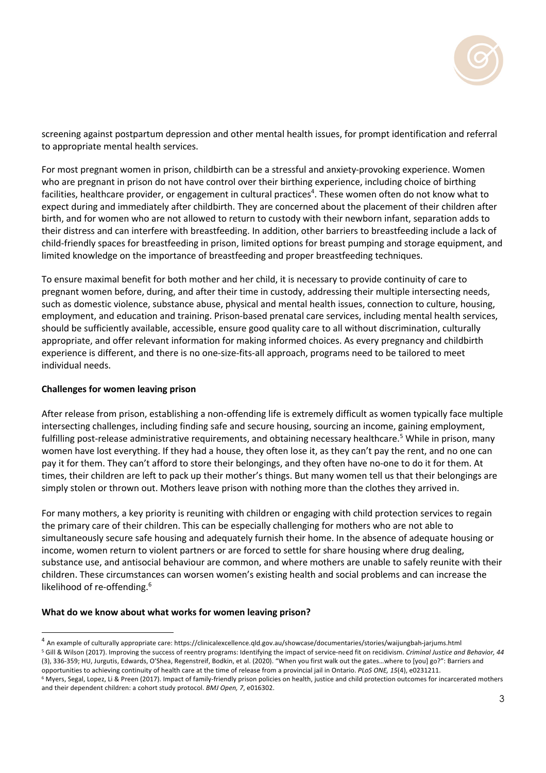

screening against postpartum depression and other mental health issues, for prompt identification and referral to appropriate mental health services.

For most pregnant women in prison, childbirth can be a stressful and anxiety-provoking experience. Women who are pregnant in prison do not have control over their birthing experience, including choice of birthing facilities, healthcare provider, or engagement in cultural practices<sup>4</sup>. These women often do not know what to expect during and immediately after childbirth. They are concerned about the placement of their children after birth, and for women who are not allowed to return to custody with their newborn infant, separation adds to their distress and can interfere with breastfeeding. In addition, other barriers to breastfeeding include a lack of child-friendly spaces for breastfeeding in prison, limited options for breast pumping and storage equipment, and limited knowledge on the importance of breastfeeding and proper breastfeeding techniques.

To ensure maximal benefit for both mother and her child, it is necessary to provide continuity of care to pregnant women before, during, and after their time in custody, addressing their multiple intersecting needs, such as domestic violence, substance abuse, physical and mental health issues, connection to culture, housing, employment, and education and training. Prison-based prenatal care services, including mental health services, should be sufficiently available, accessible, ensure good quality care to all without discrimination, culturally appropriate, and offer relevant information for making informed choices. As every pregnancy and childbirth experience is different, and there is no one-size-fits-all approach, programs need to be tailored to meet individual needs.

## **Challenges for women leaving prison**

After release from prison, establishing a non-offending life is extremely difficult as women typically face multiple intersecting challenges, including finding safe and secure housing, sourcing an income, gaining employment, fulfilling post-release administrative requirements, and obtaining necessary healthcare.<sup>5</sup> While in prison, many women have lost everything. If they had a house, they often lose it, as they can't pay the rent, and no one can pay it for them. They can't afford to store their belongings, and they often have no-one to do it for them. At times, their children are left to pack up their mother's things. But many women tell us that their belongings are simply stolen or thrown out. Mothers leave prison with nothing more than the clothes they arrived in.

For many mothers, a key priority is reuniting with children or engaging with child protection services to regain the primary care of their children. This can be especially challenging for mothers who are not able to simultaneously secure safe housing and adequately furnish their home. In the absence of adequate housing or income, women return to violent partners or are forced to settle for share housing where drug dealing, substance use, and antisocial behaviour are common, and where mothers are unable to safely reunite with their children. These circumstances can worsen women's existing health and social problems and can increase the likelihood of re-offending.<sup>6</sup>

## **What do we know about what works for women leaving prison?**

<sup>4</sup> An example of culturally appropriate care: https://clinicalexcellence.qld.gov.au/showcase/documentaries/stories/waijungbah-jarjums.html <sup>5</sup> Gill & Wilson (2017). Improving the success of reentry programs: Identifying the impact of service-need fit on recidivism. *Criminal Justice and Behavior, 44* (3), 336-359; HU, Jurgutis, Edwards, O'Shea, Regenstreif, Bodkin, et al. (2020). "When you first walk out the gates…where to [you] go?": Barriers and

opportunities to achieving continuity of health care at the time of release from a provincial jail in Ontario. PLoS ONE, 15(4), e0231211.<br><sup>6</sup> Myers, Segal, Lopez, Li & Preen (2017). Impact of family-friendly prison policie and their dependent children: a cohort study protocol. *BMJ Open, 7*, e016302.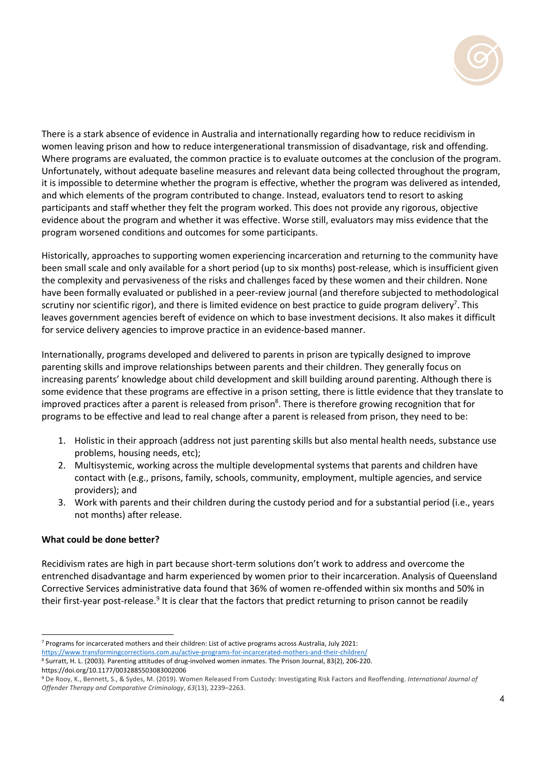

There is a stark absence of evidence in Australia and internationally regarding how to reduce recidivism in women leaving prison and how to reduce intergenerational transmission of disadvantage, risk and offending. Where programs are evaluated, the common practice is to evaluate outcomes at the conclusion of the program. Unfortunately, without adequate baseline measures and relevant data being collected throughout the program, it is impossible to determine whether the program is effective, whether the program was delivered as intended, and which elements of the program contributed to change. Instead, evaluators tend to resort to asking participants and staff whether they felt the program worked. This does not provide any rigorous, objective evidence about the program and whether it was effective. Worse still, evaluators may miss evidence that the program worsened conditions and outcomes for some participants.

Historically, approaches to supporting women experiencing incarceration and returning to the community have been small scale and only available for a short period (up to six months) post-release, which is insufficient given the complexity and pervasiveness of the risks and challenges faced by these women and their children. None have been formally evaluated or published in a peer-review journal (and therefore subjected to methodological scrutiny nor scientific rigor), and there is limited evidence on best practice to guide program delivery<sup>7</sup>. This leaves government agencies bereft of evidence on which to base investment decisions. It also makes it difficult for service delivery agencies to improve practice in an evidence-based manner.

Internationally, programs developed and delivered to parents in prison are typically designed to improve parenting skills and improve relationships between parents and their children. They generally focus on increasing parents' knowledge about child development and skill building around parenting. Although there is some evidence that these programs are effective in a prison setting, there is little evidence that they translate to improved practices after a parent is released from prison<sup>8</sup>. There is therefore growing recognition that for programs to be effective and lead to real change after a parent is released from prison, they need to be:

- 1. Holistic in their approach (address not just parenting skills but also mental health needs, substance use problems, housing needs, etc);
- 2. Multisystemic, working across the multiple developmental systems that parents and children have contact with (e.g., prisons, family, schools, community, employment, multiple agencies, and service providers); and
- 3. Work with parents and their children during the custody period and for a substantial period (i.e., years not months) after release.

# **What could be done better?**

Recidivism rates are high in part because short-term solutions don't work to address and overcome the entrenched disadvantage and harm experienced by women prior to their incarceration. Analysis of Queensland Corrective Services administrative data found that 36% of women re-offended within six months and 50% in their first-year post-release.<sup>9</sup> It is clear that the factors that predict returning to prison cannot be readily

<sup>7</sup> Programs for incarcerated mothers and their children: List of active programs across Australia, July 2021:

https://www.transformingcorrections.com.au/active-programs-for-incarcerated-mothers-and-their-children/ <sup>8</sup> Surratt, H. L. (2003). Parenting attitudes of drug-involved women inmates. The Prison Journal, 83(2), 206-220. https://doi.org/10.1177/0032885503083002006

<sup>9</sup> De Rooy, K., Bennett, S., & Sydes, M. (2019). Women Released From Custody: Investigating Risk Factors and Reoffending. *International Journal of Offender Therapy and Comparative Criminology*, *63*(13), 2239–2263.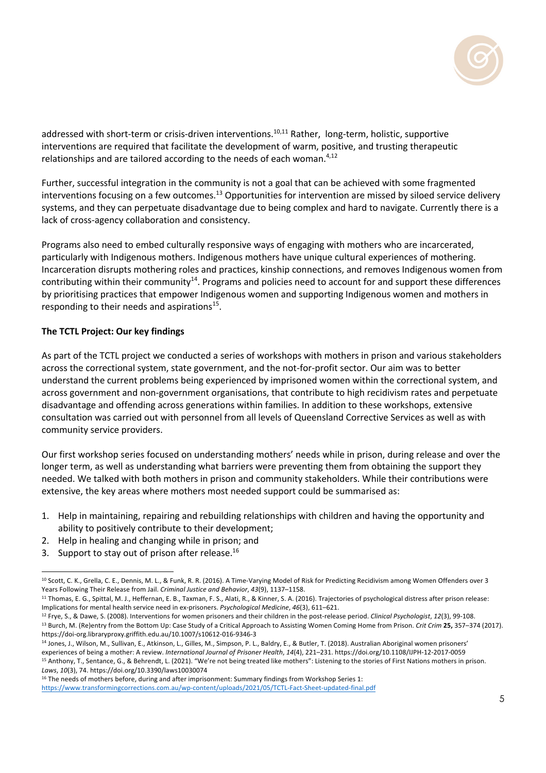

addressed with short-term or crisis-driven interventions.<sup>10,11</sup> Rather, long-term, holistic, supportive interventions are required that facilitate the development of warm, positive, and trusting therapeutic relationships and are tailored according to the needs of each woman. $4,12$ 

Further, successful integration in the community is not a goal that can be achieved with some fragmented interventions focusing on a few outcomes.<sup>13</sup> Opportunities for intervention are missed by siloed service delivery systems, and they can perpetuate disadvantage due to being complex and hard to navigate. Currently there is a lack of cross-agency collaboration and consistency.

Programs also need to embed culturally responsive ways of engaging with mothers who are incarcerated, particularly with Indigenous mothers. Indigenous mothers have unique cultural experiences of mothering. Incarceration disrupts mothering roles and practices, kinship connections, and removes Indigenous women from contributing within their community<sup>14</sup>. Programs and policies need to account for and support these differences by prioritising practices that empower Indigenous women and supporting Indigenous women and mothers in responding to their needs and aspirations $15$ .

## **The TCTL Project: Our key findings**

As part of the TCTL project we conducted a series of workshops with mothers in prison and various stakeholders across the correctional system, state government, and the not-for-profit sector. Our aim was to better understand the current problems being experienced by imprisoned women within the correctional system, and across government and non-government organisations, that contribute to high recidivism rates and perpetuate disadvantage and offending across generations within families. In addition to these workshops, extensive consultation was carried out with personnel from all levels of Queensland Corrective Services as well as with community service providers.

Our first workshop series focused on understanding mothers' needs while in prison, during release and over the longer term, as well as understanding what barriers were preventing them from obtaining the support they needed. We talked with both mothers in prison and community stakeholders. While their contributions were extensive, the key areas where mothers most needed support could be summarised as:

- 1. Help in maintaining, repairing and rebuilding relationships with children and having the opportunity and ability to positively contribute to their development;
- 2. Help in healing and changing while in prison; and
- 3. Support to stay out of prison after release.  $16$

<sup>10</sup> Scott, C. K., Grella, C. E., Dennis, M. L., & Funk, R. R. (2016). A Time-Varying Model of Risk for Predicting Recidivism among Women Offenders over 3 Years Following Their Release from Jail. *Criminal Justice and Behavior*, *43*(9), 1137–1158.

<sup>11</sup> Thomas, E. G., Spittal, M. J., Heffernan, E. B., Taxman, F. S., Alati, R., & Kinner, S. A. (2016). Trajectories of psychological distress after prison release: Implications for mental health service need in ex-prisoners. Psychological Medicine, 46(3), 611–621.<br><sup>12</sup> Frye, S., & Dawe, S. (2008). Interventions for women prisoners and their children in the post-release period. Clinic

<sup>13</sup> Burch, M. (Re)entry from the Bottom Up: Case Study of a Critical Approach to Assisting Women Coming Home from Prison. *Crit Crim* **25,** 357–374 (2017). https://doi-org.libraryproxy.griffith.edu.au/10.1007/s10612-016-9346-3

<sup>14</sup> Jones, J., Wilson, M., Sullivan, E., Atkinson, L., Gilles, M., Simpson, P. L., Baldry, E., & Butler, T. (2018). Australian Aboriginal women prisoners' experiences of being a mother: A review. *International Journal of Prisoner Health*, *14*(4), 221–231. https://doi.org/10.1108/IJPH-12-2017-0059 <sup>15</sup> Anthony, T., Sentance, G., & Behrendt, L. (2021). "We're not being treated like mothers": Listening to the stories of First Nations mothers in prison. *Laws*, *10*(3), 74. https://doi.org/10.3390/laws10030074

<sup>&</sup>lt;sup>16</sup> The needs of mothers before, during and after imprisonment: Summary findings from Workshop Series 1: https://www.transformingcorrections.com.au/wp-content/uploads/2021/05/TCTL-Fact-Sheet-updated-final.pdf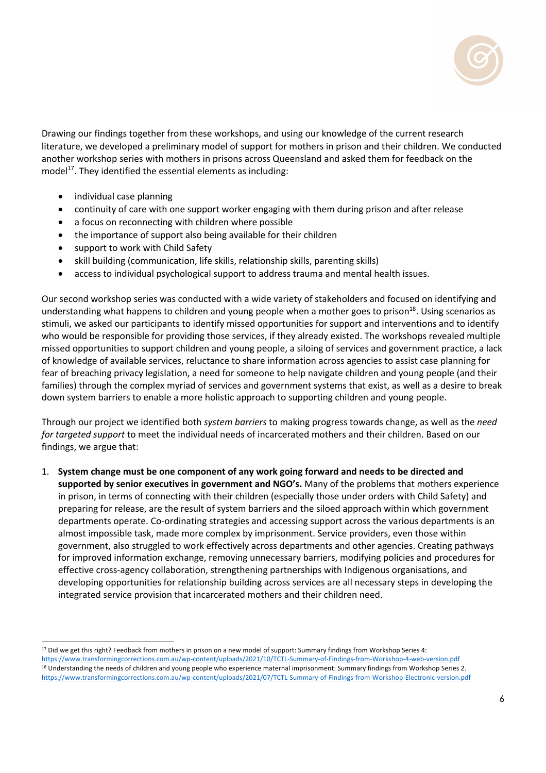

Drawing our findings together from these workshops, and using our knowledge of the current research literature, we developed a preliminary model of support for mothers in prison and their children. We conducted another workshop series with mothers in prisons across Queensland and asked them for feedback on the model $17$ . They identified the essential elements as including:

- individual case planning
- continuity of care with one support worker engaging with them during prison and after release
- a focus on reconnecting with children where possible
- the importance of support also being available for their children
- support to work with Child Safety
- skill building (communication, life skills, relationship skills, parenting skills)
- access to individual psychological support to address trauma and mental health issues.

Our second workshop series was conducted with a wide variety of stakeholders and focused on identifying and understanding what happens to children and young people when a mother goes to prison $^{18}$ . Using scenarios as stimuli, we asked our participants to identify missed opportunities for support and interventions and to identify who would be responsible for providing those services, if they already existed. The workshops revealed multiple missed opportunities to support children and young people, a siloing of services and government practice, a lack of knowledge of available services, reluctance to share information across agencies to assist case planning for fear of breaching privacy legislation, a need for someone to help navigate children and young people (and their families) through the complex myriad of services and government systems that exist, as well as a desire to break down system barriers to enable a more holistic approach to supporting children and young people.

Through our project we identified both *system barriers* to making progress towards change, as well as the *need for targeted support* to meet the individual needs of incarcerated mothers and their children. Based on our findings, we argue that:

1. **System change must be one component of any work going forward and needs to be directed and supported by senior executives in government and NGO's.** Many of the problems that mothers experience in prison, in terms of connecting with their children (especially those under orders with Child Safety) and preparing for release, are the result of system barriers and the siloed approach within which government departments operate. Co-ordinating strategies and accessing support across the various departments is an almost impossible task, made more complex by imprisonment. Service providers, even those within government, also struggled to work effectively across departments and other agencies. Creating pathways for improved information exchange, removing unnecessary barriers, modifying policies and procedures for effective cross-agency collaboration, strengthening partnerships with Indigenous organisations, and developing opportunities for relationship building across services are all necessary steps in developing the integrated service provision that incarcerated mothers and their children need.

<sup>17</sup> Did we get this right? Feedback from mothers in prison on a new model of support: Summary findings from Workshop Series 4: https://www.transformingcorrections.com.au/wp-content/uploads/2021/10/TCTL-Summary-of-Findings-from-Workshop-4-web-version.pdf <sup>18</sup> Understanding the needs of children and young people who experience maternal imprisonment: Summary findings from Workshop Series 2. https://www.transformingcorrections.com.au/wp-content/uploads/2021/07/TCTL-Summary-of-Findings-from-Workshop-Electronic-version.pdf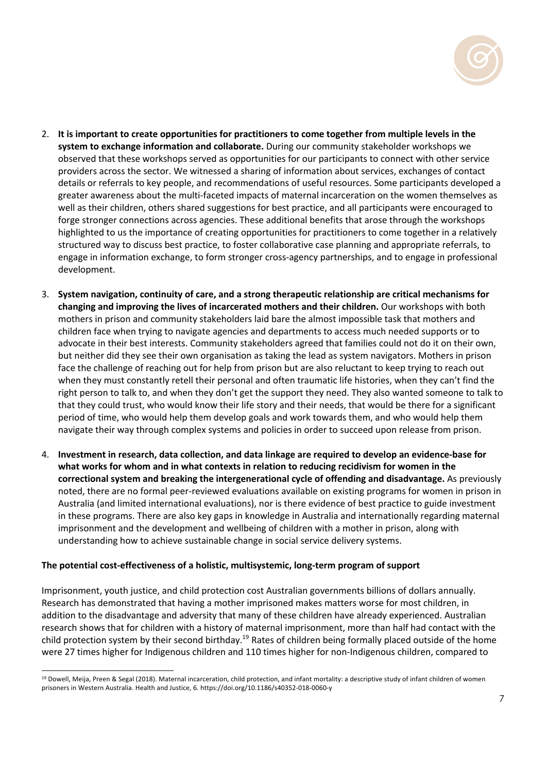

- 2. **It is important to create opportunities for practitioners to come together from multiple levels in the system to exchange information and collaborate.** During our community stakeholder workshops we observed that these workshops served as opportunities for our participants to connect with other service providers across the sector. We witnessed a sharing of information about services, exchanges of contact details or referrals to key people, and recommendations of useful resources. Some participants developed a greater awareness about the multi-faceted impacts of maternal incarceration on the women themselves as well as their children, others shared suggestions for best practice, and all participants were encouraged to forge stronger connections across agencies. These additional benefits that arose through the workshops highlighted to us the importance of creating opportunities for practitioners to come together in a relatively structured way to discuss best practice, to foster collaborative case planning and appropriate referrals, to engage in information exchange, to form stronger cross-agency partnerships, and to engage in professional development.
- 3. **System navigation, continuity of care, and a strong therapeutic relationship are critical mechanisms for changing and improving the lives of incarcerated mothers and their children.** Our workshops with both mothers in prison and community stakeholders laid bare the almost impossible task that mothers and children face when trying to navigate agencies and departments to access much needed supports or to advocate in their best interests. Community stakeholders agreed that families could not do it on their own, but neither did they see their own organisation as taking the lead as system navigators. Mothers in prison face the challenge of reaching out for help from prison but are also reluctant to keep trying to reach out when they must constantly retell their personal and often traumatic life histories, when they can't find the right person to talk to, and when they don't get the support they need. They also wanted someone to talk to that they could trust, who would know their life story and their needs, that would be there for a significant period of time, who would help them develop goals and work towards them, and who would help them navigate their way through complex systems and policies in order to succeed upon release from prison.
- 4. **Investment in research, data collection, and data linkage are required to develop an evidence-base for what works for whom and in what contexts in relation to reducing recidivism for women in the correctional system and breaking the intergenerational cycle of offending and disadvantage.** As previously noted, there are no formal peer-reviewed evaluations available on existing programs for women in prison in Australia (and limited international evaluations), nor is there evidence of best practice to guide investment in these programs. There are also key gaps in knowledge in Australia and internationally regarding maternal imprisonment and the development and wellbeing of children with a mother in prison, along with understanding how to achieve sustainable change in social service delivery systems.

# **The potential cost-effectiveness of a holistic, multisystemic, long-term program of support**

Imprisonment, youth justice, and child protection cost Australian governments billions of dollars annually. Research has demonstrated that having a mother imprisoned makes matters worse for most children, in addition to the disadvantage and adversity that many of these children have already experienced. Australian research shows that for children with a history of maternal imprisonment, more than half had contact with the child protection system by their second birthday.<sup>19</sup> Rates of children being formally placed outside of the home were 27 times higher for Indigenous children and 110 times higher for non-Indigenous children, compared to

<sup>&</sup>lt;sup>19</sup> Dowell, Meija, Preen & Segal (2018). Maternal incarceration, child protection, and infant mortality: a descriptive study of infant children of women prisoners in Western Australia. Health and Justice, 6. https://doi.org/10.1186/s40352-018-0060-y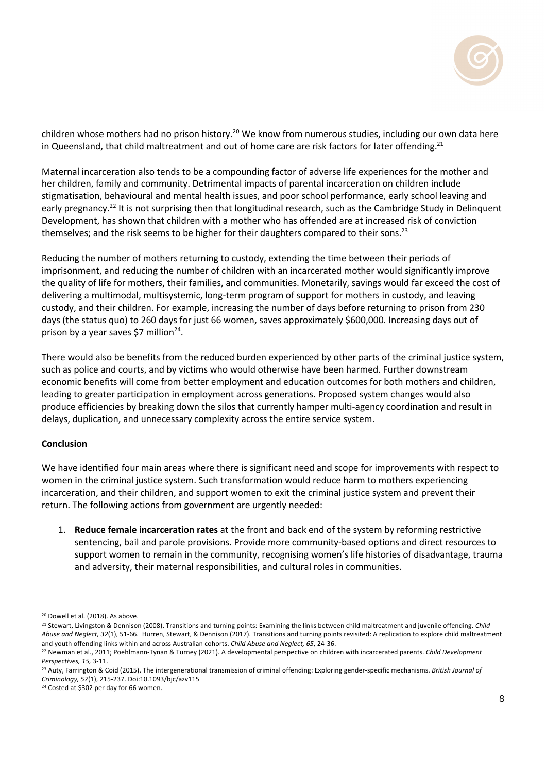

children whose mothers had no prison history.<sup>20</sup> We know from numerous studies, including our own data here in Queensland, that child maltreatment and out of home care are risk factors for later offending.<sup>21</sup>

Maternal incarceration also tends to be a compounding factor of adverse life experiences for the mother and her children, family and community. Detrimental impacts of parental incarceration on children include stigmatisation, behavioural and mental health issues, and poor school performance, early school leaving and early pregnancy.<sup>22</sup> It is not surprising then that longitudinal research, such as the Cambridge Study in Delinquent Development, has shown that children with a mother who has offended are at increased risk of conviction themselves; and the risk seems to be higher for their daughters compared to their sons.<sup>23</sup>

Reducing the number of mothers returning to custody, extending the time between their periods of imprisonment, and reducing the number of children with an incarcerated mother would significantly improve the quality of life for mothers, their families, and communities. Monetarily, savings would far exceed the cost of delivering a multimodal, multisystemic, long-term program of support for mothers in custody, and leaving custody, and their children. For example, increasing the number of days before returning to prison from 230 days (the status quo) to 260 days for just 66 women, saves approximately \$600,000. Increasing days out of prison by a year saves \$7 million<sup>24</sup>.

There would also be benefits from the reduced burden experienced by other parts of the criminal justice system, such as police and courts, and by victims who would otherwise have been harmed. Further downstream economic benefits will come from better employment and education outcomes for both mothers and children, leading to greater participation in employment across generations. Proposed system changes would also produce efficiencies by breaking down the silos that currently hamper multi-agency coordination and result in delays, duplication, and unnecessary complexity across the entire service system.

## **Conclusion**

We have identified four main areas where there is significant need and scope for improvements with respect to women in the criminal justice system. Such transformation would reduce harm to mothers experiencing incarceration, and their children, and support women to exit the criminal justice system and prevent their return. The following actions from government are urgently needed:

1. **Reduce female incarceration rates** at the front and back end of the system by reforming restrictive sentencing, bail and parole provisions. Provide more community-based options and direct resources to support women to remain in the community, recognising women's life histories of disadvantage, trauma and adversity, their maternal responsibilities, and cultural roles in communities.

<sup>24</sup> Costed at \$302 per day for 66 women.

<sup>20</sup> Dowell et al. (2018). As above.

<sup>21</sup> Stewart, Livingston & Dennison (2008). Transitions and turning points: Examining the links between child maltreatment and juvenile offending. *Child Abuse and Neglect, 32*(1), 51-66. Hurren, Stewart, & Dennison (2017). Transitions and turning points revisited: A replication to explore child maltreatment and youth offending links within and across Australian cohorts. Child Abuse and Neglect, 65, 24-36.<br><sup>22</sup> Newman et al., 2011: Poehlmann-Tynan & Turney (2021). A developmental perspective on children with incarcerated paren

*Perspectives, 15,* 3-11.<br><sup>23</sup> Auty, Farrington & Coid (2015). The intergenerational transmission of criminal offending: Exploring gender-specific mechanisms. *British Journal of Criminology, 57*(1), 215-237. Doi:10.1093/bjc/azv115